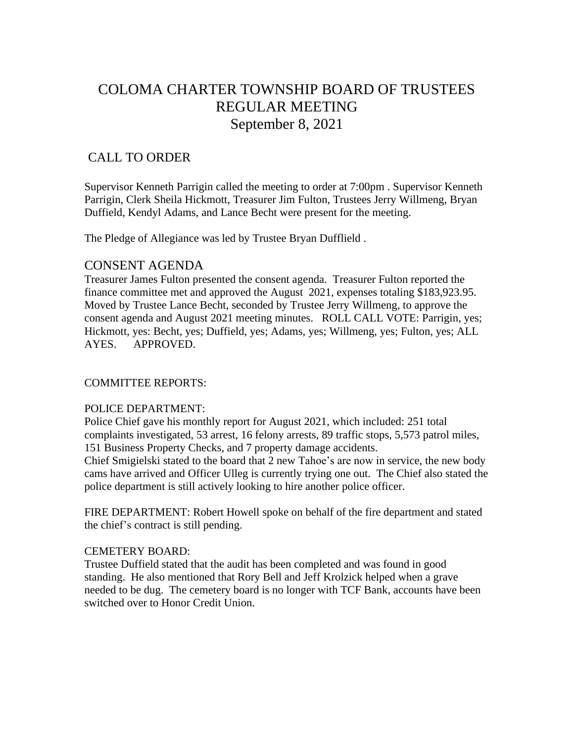# COLOMA CHARTER TOWNSHIP BOARD OF TRUSTEES REGULAR MEETING September 8, 2021

## CALL TO ORDER

Supervisor Kenneth Parrigin called the meeting to order at 7:00pm . Supervisor Kenneth Parrigin, Clerk Sheila Hickmott, Treasurer Jim Fulton, Trustees Jerry Willmeng, Bryan Duffield, Kendyl Adams, and Lance Becht were present for the meeting.

The Pledge of Allegiance was led by Trustee Bryan Dufflield .

### CONSENT AGENDA

Treasurer James Fulton presented the consent agenda. Treasurer Fulton reported the finance committee met and approved the August 2021, expenses totaling \$183,923.95. Moved by Trustee Lance Becht, seconded by Trustee Jerry Willmeng, to approve the consent agenda and August 2021 meeting minutes. ROLL CALL VOTE: Parrigin, yes; Hickmott, yes: Becht, yes; Duffield, yes; Adams, yes; Willmeng, yes; Fulton, yes; ALL AYES. APPROVED.

#### COMMITTEE REPORTS:

#### POLICE DEPARTMENT:

Police Chief gave his monthly report for August 2021, which included: 251 total complaints investigated, 53 arrest, 16 felony arrests, 89 traffic stops, 5,573 patrol miles, 151 Business Property Checks, and 7 property damage accidents.

Chief Smigielski stated to the board that 2 new Tahoe's are now in service, the new body cams have arrived and Officer Ulleg is currently trying one out. The Chief also stated the police department is still actively looking to hire another police officer.

FIRE DEPARTMENT: Robert Howell spoke on behalf of the fire department and stated the chief's contract is still pending.

#### CEMETERY BOARD:

Trustee Duffield stated that the audit has been completed and was found in good standing. He also mentioned that Rory Bell and Jeff Krolzick helped when a grave needed to be dug. The cemetery board is no longer with TCF Bank, accounts have been switched over to Honor Credit Union.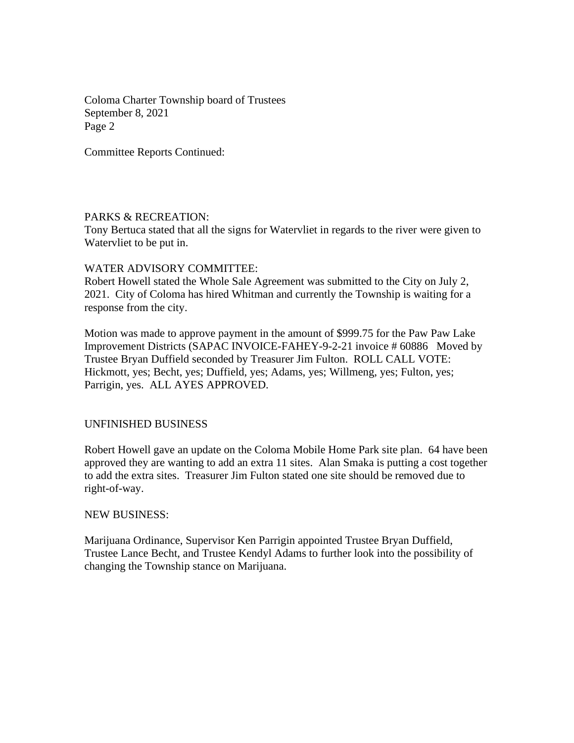Coloma Charter Township board of Trustees September 8, 2021 Page 2

Committee Reports Continued:

#### PARKS & RECREATION:

Tony Bertuca stated that all the signs for Watervliet in regards to the river were given to Watervliet to be put in.

#### WATER ADVISORY COMMITTEE:

Robert Howell stated the Whole Sale Agreement was submitted to the City on July 2, 2021. City of Coloma has hired Whitman and currently the Township is waiting for a response from the city.

Motion was made to approve payment in the amount of \$999.75 for the Paw Paw Lake Improvement Districts (SAPAC INVOICE-FAHEY-9-2-21 invoice # 60886 Moved by Trustee Bryan Duffield seconded by Treasurer Jim Fulton. ROLL CALL VOTE: Hickmott, yes; Becht, yes; Duffield, yes; Adams, yes; Willmeng, yes; Fulton, yes; Parrigin, yes. ALL AYES APPROVED.

#### UNFINISHED BUSINESS

Robert Howell gave an update on the Coloma Mobile Home Park site plan. 64 have been approved they are wanting to add an extra 11 sites. Alan Smaka is putting a cost together to add the extra sites. Treasurer Jim Fulton stated one site should be removed due to right-of-way.

#### NEW BUSINESS:

Marijuana Ordinance, Supervisor Ken Parrigin appointed Trustee Bryan Duffield, Trustee Lance Becht, and Trustee Kendyl Adams to further look into the possibility of changing the Township stance on Marijuana.